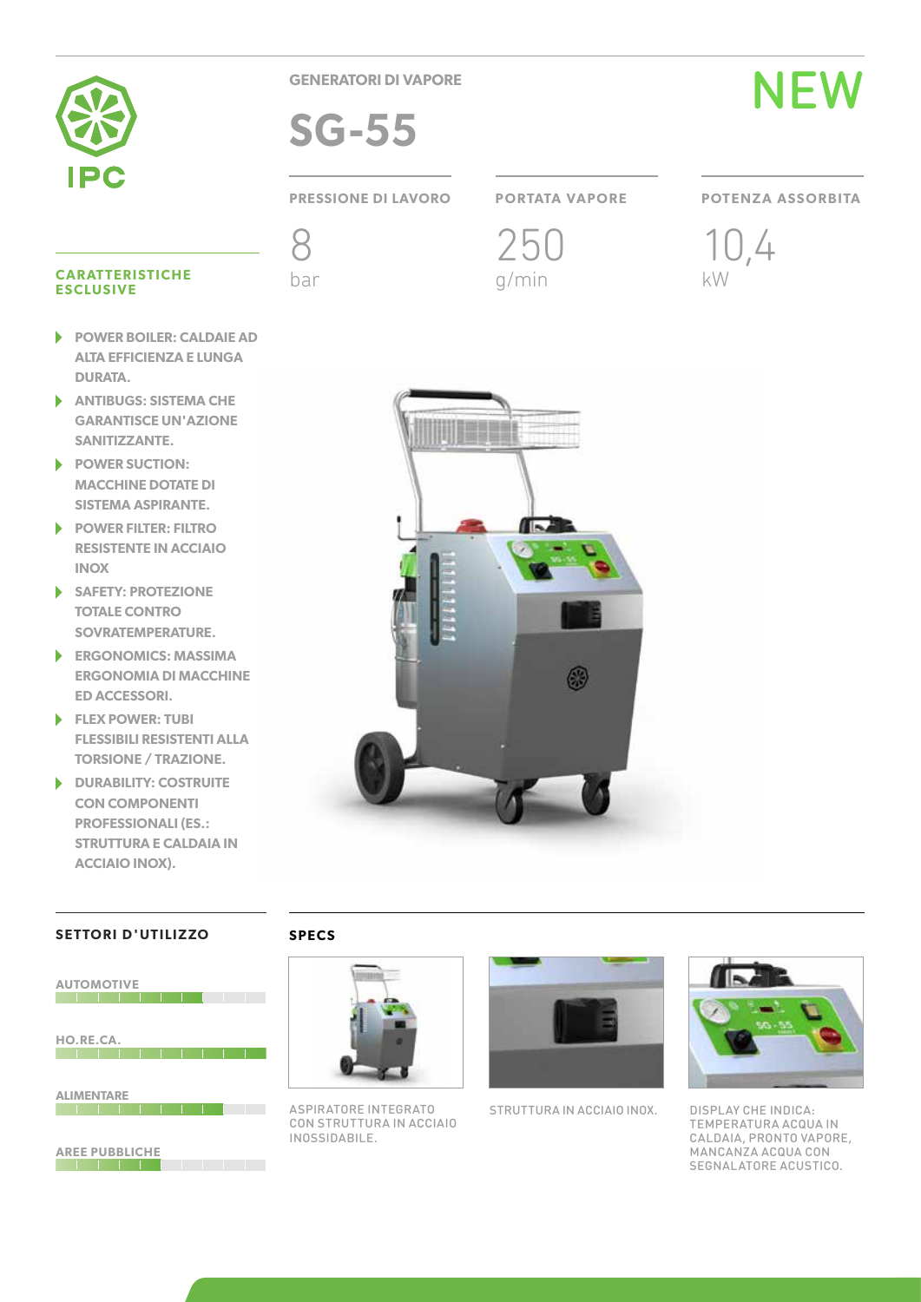

**GENERATORI DI VAPORE**

**SG-55**



# **PRESSIONE DI LAVORO PORTATA VAPORE POTENZA ASSORBITA**

250 g/min





### **CARATTERISTICHE** CARATTERISTICHE bar bar g/min kW<br>ESCLUSIVE

- **POWER BOILER: CALDAIE AD**  ь **ALTA EFFICIENZA E LUNGA DURATA.**
- **ANTIBUGS: SISTEMA CHE**  ь **GARANTISCE UN'AZIONE SANITIZZANTE.**
- ь **POWER SUCTION: MACCHINE DOTATE DI SISTEMA ASPIRANTE.**
- **POWER FILTER: FILTRO**   $\blacktriangleright$ **RESISTENTE IN ACCIAIO INOX**
- **SAFETY: PROTEZIONE**  ь **TOTALE CONTRO SOVRATEMPERATURE.**
- $\blacktriangleright$ **ERGONOMICS: MASSIMA ERGONOMIA DI MACCHINE ED ACCESSORI.**
- **FLEX POWER: TUBI FLESSIBILI RESISTENTI ALLA TORSIONE / TRAZIONE.**
- ь **DURABILITY: COSTRUITE CON COMPONENTI PROFESSIONALI (ES.: STRUTTURA E CALDAIA IN ACCIAIO INOX).**

# **SETTORI D'UTILIZZO**

**THE REAL PROPERTY OF STATE OF A** 



**SPECS**



ASPIRATORE INTEGRATO CON STRUTTURA IN ACCIAIO INOSSIDABILE.



STRUTTURA IN ACCIAIO INOX.



DISPLAY CHE INDICA: TEMPERATURA ACQUA IN CALDAIA, PRONTO VAPORE, MANCANZA ACQUA CON SEGNALATORE ACUSTICO.